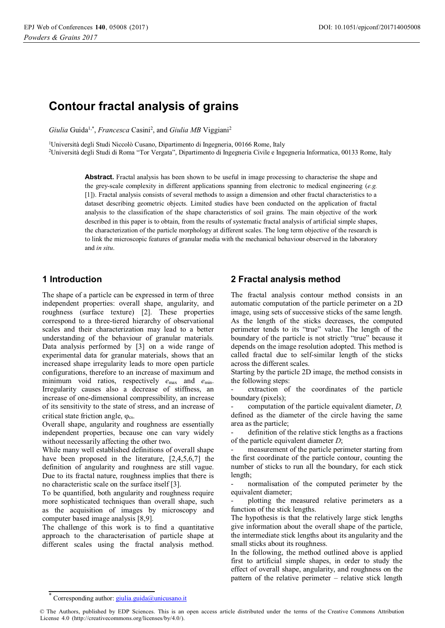# **Contour fractal analysis of grains**

Giulia Guida<sup>1,\*</sup>, *Francesca* Casini<sup>2</sup>, and *Giulia MB* Viggiani<sup>2</sup>

1 Università degli Studi Niccolò Cusano, Dipartimento di Ingegneria, 00166 Rome, Italy 2 Università degli Studi di Roma "Tor Vergata", Dipartimento di Ingegneria Civile e Ingegneria Informatica, 00133 Rome, Italy

> **Abstract.** Fractal analysis has been shown to be useful in image processing to characterise the shape and the grey-scale complexity in different applications spanning from electronic to medical engineering (*e.g.* [1]). Fractal analysis consists of several methods to assign a dimension and other fractal characteristics to a dataset describing geometric objects. Limited studies have been conducted on the application of fractal analysis to the classification of the shape characteristics of soil grains. The main objective of the work described in this paper is to obtain, from the results of systematic fractal analysis of artificial simple shapes, the characterization of the particle morphology at different scales. The long term objective of the research is to link the microscopic features of granular media with the mechanical behaviour observed in the laboratory and *in situ*.

# **1 Introduction**

The shape of a particle can be expressed in term of three independent properties: overall shape, angularity, and roughness (surface texture) [2]. These properties correspond to a three-tiered hierarchy of observational scales and their characterization may lead to a better understanding of the behaviour of granular materials. Data analysis performed by [3] on a wide range of experimental data for granular materials, shows that an increased shape irregularity leads to more open particle configurations, therefore to an increase of maximum and minimum void ratios, respectively *e*max and *e*min. Irregularity causes also a decrease of stiffness, an increase of one-dimensional compressibility, an increase of its sensitivity to the state of stress, and an increase of critical state friction angle,  $\varphi_{\text{cs}}$ .

Overall shape, angularity and roughness are essentially independent properties, because one can vary widely without necessarily affecting the other two.

While many well established definitions of overall shape have been proposed in the literature, [2,4,5,6,7] the definition of angularity and roughness are still vague. Due to its fractal nature, roughness implies that there is no characteristic scale on the surface itself [3].

To be quantified, both angularity and roughness require more sophisticated techniques than overall shape, such as the acquisition of images by microscopy and computer based image analysis [8,9].

The challenge of this work is to find a quantitative approach to the characterisation of particle shape at different scales using the fractal analysis method.

# **2 Fractal analysis method**

The fractal analysis contour method consists in an automatic computation of the particle perimeter on a 2D image, using sets of successive sticks of the same length. As the length of the sticks decreases, the computed perimeter tends to its "true" value. The length of the boundary of the particle is not strictly "true" because it depends on the image resolution adopted. This method is called fractal due to self-similar length of the sticks across the different scales.

Starting by the particle 2D image, the method consists in the following steps:

extraction of the coordinates of the particle boundary (pixels);

- computation of the particle equivalent diameter, *D,* defined as the diameter of the circle having the same area as the particle;

definition of the relative stick lengths as a fractions of the particle equivalent diameter *D*;

measurement of the particle perimeter starting from the first coordinate of the particle contour, counting the number of sticks to run all the boundary, for each stick length;

normalisation of the computed perimeter by the equivalent diameter;

plotting the measured relative perimeters as a function of the stick lengths.

The hypothesis is that the relatively large stick lengths give information about the overall shape of the particle, the intermediate stick lengths about its angularity and the small sticks about its roughness.

In the following, the method outlined above is applied first to artificial simple shapes, in order to study the effect of overall shape, angularity, and roughness on the pattern of the relative perimeter – relative stick length

<sup>\*</sup> Corresponding author: giulia.guida@unicusano.it

<sup>©</sup> The Authors, published by EDP Sciences. This is an open access article distributed under the terms of the Creative Commons Attribution License 4.0 (http://creativecommons.org/licenses/by/4.0/).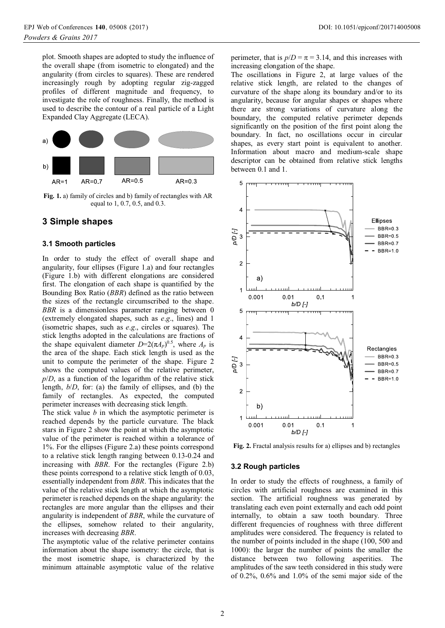plot. Smooth shapes are adopted to study the influence of the overall shape (from isometric to elongated) and the angularity (from circles to squares). These are rendered increasingly rough by adopting regular zig-zagged profiles of different magnitude and frequency, to investigate the role of roughness. Finally, the method is used to describe the contour of a real particle of a Light Expanded Clay Aggregate (LECA).



**Fig. 1.** a) family of circles and b) family of rectangles with AR equal to 1, 0.7, 0.5, and 0.3.

### **3 Simple shapes**

#### **3.1 Smooth particles**

In order to study the effect of overall shape and angularity, four ellipses (Figure 1.a) and four rectangles (Figure 1.b) with different elongations are considered first. The elongation of each shape is quantified by the Bounding Box Ratio (*BBR*) defined as the ratio between the sizes of the rectangle circumscribed to the shape. *BBR* is a dimensionless parameter ranging between 0 (extremely elongated shapes, such as *e*.*g*., lines) and 1 (isometric shapes, such as *e*.*g*., circles or squares). The stick lengths adopted in the calculations are fractions of the shape equivalent diameter  $D=2(\pi A_p)^{0.5}$ , where  $A_p$  is<br>the area of the shape. Each stick length is used as the the area of the shape. Each stick length is used as the unit to compute the perimeter of the shape. Figure 2 shows the computed values of the relative perimeter,  $p/D$ , as a function of the logarithm of the relative stick length, *b*/*D*, for: (a) the family of ellipses, and (b) the family of rectangles. As expected, the computed perimeter increases with decreasing stick length.

The stick value *b* in which the asymptotic perimeter is reached depends by the particle curvature. The black stars in Figure 2 show the point at which the asymptotic value of the perimeter is reached within a tolerance of 1%. For the ellipses (Figure 2.a) these points correspond to a relative stick length ranging between 0.13-0.24 and increasing with *BBR*. For the rectangles (Figure 2.b) these points correspond to a relative stick length of 0.03, essentially independent from *BBR*. This indicates that the value of the relative stick length at which the asymptotic perimeter is reached depends on the shape angularity: the rectangles are more angular than the ellipses and their angularity is independent of *BBR*, while the curvature of the ellipses, somehow related to their angularity, increases with decreasing *BBR*.

The asymptotic value of the relative perimeter contains information about the shape isometry: the circle, that is the most isometric shape, is characterized by the minimum attainable asymptotic value of the relative perimeter, that is  $p/D = \pi = 3.14$ , and this increases with increasing elongation of the shape.

The oscillations in Figure 2, at large values of the relative stick length, are related to the changes of curvature of the shape along its boundary and/or to its angularity, because for angular shapes or shapes where there are strong variations of curvature along the boundary, the computed relative perimeter depends significantly on the position of the first point along the boundary. In fact, no oscillations occur in circular shapes, as every start point is equivalent to another. Information about macro and medium-scale shape descriptor can be obtained from relative stick lengths between 0.1 and 1.



**Fig. 2.** Fractal analysis results for a) ellipses and b) rectangles

#### **3.2 Rough particles**

In order to study the effects of roughness, a family of circles with artificial roughness are examined in this section. The artificial roughness was generated by translating each even point externally and each odd point internally, to obtain a saw tooth boundary. Three different frequencies of roughness with three different amplitudes were considered. The frequency is related to the number of points included in the shape (100, 500 and 1000): the larger the number of points the smaller the distance between two following asperities. The amplitudes of the saw teeth considered in this study were of 0.2%, 0.6% and 1.0% of the semi major side of the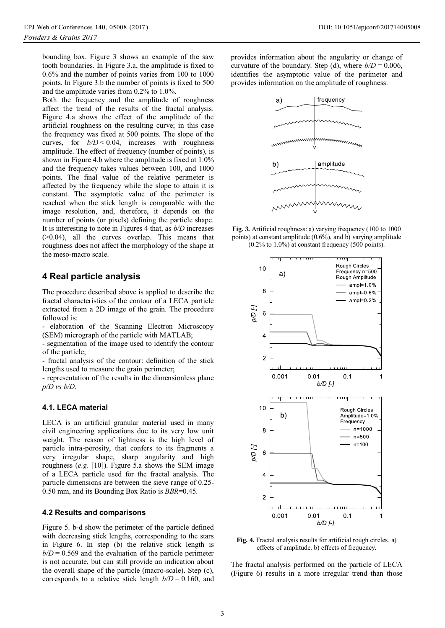bounding box. Figure 3 shows an example of the saw tooth boundaries. In Figure 3.a, the amplitude is fixed to 0.6% and the number of points varies from 100 to 1000 points. In Figure 3.b the number of points is fixed to 500 and the amplitude varies from 0.2% to 1.0%.

Both the frequency and the amplitude of roughness affect the trend of the results of the fractal analysis. Figure 4.a shows the effect of the amplitude of the artificial roughness on the resulting curve; in this case the frequency was fixed at 500 points. The slope of the curves, for  $b/D < 0.04$ , increases with roughness amplitude. The effect of frequency (number of points), is shown in Figure 4.b where the amplitude is fixed at 1.0% and the frequency takes values between 100, and 1000 points. The final value of the relative perimeter is affected by the frequency while the slope to attain it is constant. The asymptotic value of the perimeter is reached when the stick length is comparable with the image resolution, and, therefore, it depends on the number of points (or pixels) defining the particle shape. It is interesting to note in Figures 4 that, as *b/D* increases (>0.04), all the curves overlap. This means that roughness does not affect the morphology of the shape at the meso-macro scale.

# **4 Real particle analysis**

The procedure described above is applied to describe the fractal characteristics of the contour of a LECA particle extracted from a 2D image of the grain. The procedure followed is:

- elaboration of the Scanning Electron Microscopy (SEM) micrograph of the particle with MATLAB;

- segmentation of the image used to identify the contour of the particle;

- fractal analysis of the contour: definition of the stick lengths used to measure the grain perimeter;

- representation of the results in the dimensionless plane *p/D vs b/D.*

#### **4.1. LECA material**

LECA is an artificial granular material used in many civil engineering applications due to its very low unit weight. The reason of lightness is the high level of particle intra-porosity, that confers to its fragments a very irregular shape, sharp angularity and high roughness (*e.g*. [10]). Figure 5.a shows the SEM image of a LECA particle used for the fractal analysis. The particle dimensions are between the sieve range of 0.25- 0.50 mm, and its Bounding Box Ratio is *BBR*=0.45.

#### **4.2 Results and comparisons**

Figure 5. b-d show the perimeter of the particle defined with decreasing stick lengths, corresponding to the stars in Figure 6. In step (b) the relative stick length is  $b/D = 0.569$  and the evaluation of the particle perimeter is not accurate, but can still provide an indication about the overall shape of the particle (macro-scale). Step (c), corresponds to a relative stick length  $b/D = 0.160$ , and provides information about the angularity or change of curvature of the boundary. Step (d), where  $b/D = 0.006$ , identifies the asymptotic value of the perimeter and provides information on the amplitude of roughness.



**Fig. 3.** Artificial roughness: a) varying frequency (100 to 1000 points) at constant amplitude (0.6%), and b) varying amplitude  $(0.2\%$  to  $1.0\%)$  at constant frequency (500 points).



**Fig. 4.** Fractal analysis results for artificial rough circles. a) effects of amplitude. b) effects of frequency.

The fractal analysis performed on the particle of LECA (Figure 6) results in a more irregular trend than those